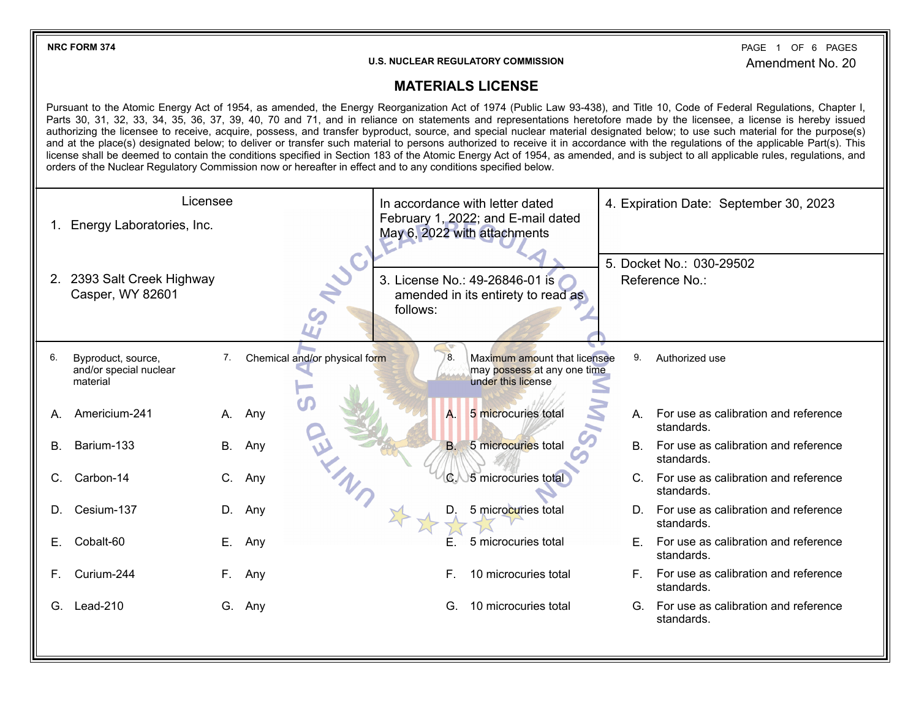**NRC FORM 374** PAGE 1 OF 6 Amendment No. 20 PAGE 1 OF 6 PAGES

## **U.S. NUCLEAR REGULATORY COMMISSION**

## **MATERIALS LICENSE**

Pursuant to the Atomic Energy Act of 1954, as amended, the Energy Reorganization Act of 1974 (Public Law 93-438), and Title 10, Code of Federal Regulations, Chapter I, Parts 30, 31, 32, 33, 34, 35, 36, 37, 39, 40, 70 and 71, and in reliance on statements and representations heretofore made by the licensee, a license is hereby issued authorizing the licensee to receive, acquire, possess, and transfer byproduct, source, and special nuclear material designated below; to use such material for the purpose(s) and at the place(s) designated below; to deliver or transfer such material to persons authorized to receive it in accordance with the regulations of the applicable Part(s). This license shall be deemed to contain the conditions specified in Section 183 of the Atomic Energy Act of 1954, as amended, and is subject to all applicable rules, regulations, and orders of the Nuclear Regulatory Commission now or hereafter in effect and to any conditions specified below.

| Licensee |                                                          |           |                               | In accordance with letter dated |           |                                                                                   | 4. Expiration Date: September 30, 2023 |                                                       |
|----------|----------------------------------------------------------|-----------|-------------------------------|---------------------------------|-----------|-----------------------------------------------------------------------------------|----------------------------------------|-------------------------------------------------------|
|          | 1. Energy Laboratories, Inc.                             |           |                               |                                 |           | February 1, 2022; and E-mail dated<br>May 6, 2022 with attachments                |                                        |                                                       |
|          | 2. 2393 Salt Creek Highway<br>Casper, WY 82601           |           | Jul.                          | follows:                        |           | 3. License No.: 49-26846-01 is<br>amended in its entirety to read as              |                                        | 5. Docket No.: 030-29502<br>Reference No.:            |
| 6.       | Byproduct, source,<br>and/or special nuclear<br>material | 7.        | Chemical and/or physical form |                                 | 8         | Maximum amount that licensee<br>may possess at any one time<br>under this license | 9.                                     | Authorized use                                        |
| A.       | Americium-241                                            | А.        | Any                           |                                 | A.        | 5 microcuries total                                                               |                                        | A. For use as calibration and reference<br>standards. |
| В.       | Barium-133                                               | <b>B.</b> | Any                           |                                 | <b>B.</b> | 5 microcuries total                                                               |                                        | B. For use as calibration and reference<br>standards. |
| C.       | Carbon-14                                                | C.        | Any                           |                                 | $\alpha$  | 5 microcuries total                                                               |                                        | C. For use as calibration and reference<br>standards. |
| D.       | Cesium-137                                               | D.        | Any                           |                                 | D.        | 5 microcuries total                                                               |                                        | D. For use as calibration and reference<br>standards. |
| Е.       | Cobalt-60                                                | Е.        | Any                           |                                 |           | 5 microcuries total                                                               |                                        | E. For use as calibration and reference<br>standards. |
| F.       | Curium-244                                               | F.        | Any                           |                                 | F.        | 10 microcuries total                                                              |                                        | F. For use as calibration and reference<br>standards. |
| G.       | Lead-210                                                 | G.        | Any                           |                                 | G.        | 10 microcuries total                                                              |                                        | G. For use as calibration and reference<br>standards. |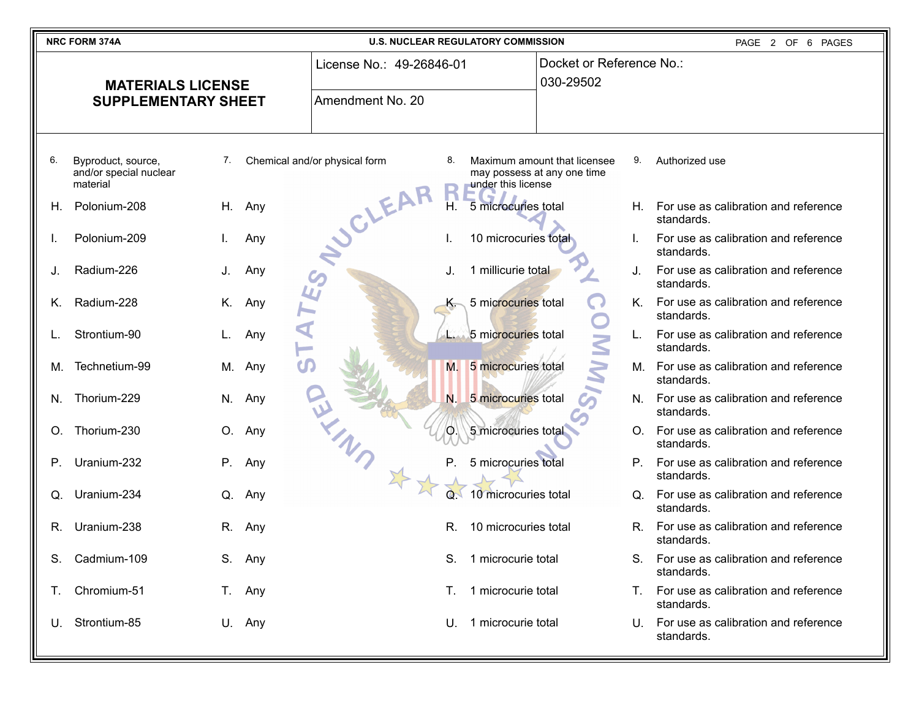| NRC FORM 374A<br><b>U.S. NUCLEAR REGULATORY COMMISSION</b><br>PAGE 2 OF 6 PAGES |                                                          |    |                          |                               |                                       |                      |                                                             |             |                                                       |
|---------------------------------------------------------------------------------|----------------------------------------------------------|----|--------------------------|-------------------------------|---------------------------------------|----------------------|-------------------------------------------------------------|-------------|-------------------------------------------------------|
| <b>MATERIALS LICENSE</b>                                                        |                                                          |    | License No.: 49-26846-01 |                               | Docket or Reference No.:<br>030-29502 |                      |                                                             |             |                                                       |
|                                                                                 | <b>SUPPLEMENTARY SHEET</b>                               |    |                          | Amendment No. 20              |                                       |                      |                                                             |             |                                                       |
| 6.                                                                              | Byproduct, source,<br>and/or special nuclear<br>material | 7. |                          | Chemical and/or physical form | 8.                                    | under this license   | Maximum amount that licensee<br>may possess at any one time | 9.          | Authorized use                                        |
| Н.                                                                              | Polonium-208                                             | H. | Any                      | JOLEAR                        | Н.                                    | 5 microcuries total  |                                                             | H. .        | For use as calibration and reference<br>standards.    |
|                                                                                 | Polonium-209                                             |    | Any                      |                               |                                       | 10 microcuries total |                                                             |             | For use as calibration and reference<br>standards.    |
| J.                                                                              | Radium-226                                               | J. | Any                      |                               |                                       | 1 millicurie total   |                                                             | J.          | For use as calibration and reference<br>standards.    |
| K.                                                                              | Radium-228                                               | Κ. | Any                      |                               | K.                                    | 5 microcuries total  |                                                             | K.          | For use as calibration and reference<br>standards.    |
|                                                                                 | Strontium-90                                             |    | Any                      |                               |                                       | 5 microcuries total  | $\leq$                                                      |             | For use as calibration and reference<br>standards.    |
| М.                                                                              | Technetium-99                                            | М. | Any                      |                               | M.                                    | 5 microcuries total  |                                                             | М.          | For use as calibration and reference<br>standards.    |
| N.                                                                              | Thorium-229                                              |    | N. Any                   |                               | N.                                    | 5 microcuries total  |                                                             |             | N. For use as calibration and reference<br>standards. |
| O.                                                                              | Thorium-230                                              | O. | Any                      |                               | O.                                    | 5 microcuries total  |                                                             |             | O. For use as calibration and reference<br>standards. |
| $P_{\cdot}$                                                                     | Uranium-232                                              | P. | Any                      |                               | Р.                                    | 5 microcuries total  |                                                             | $P_{\perp}$ | For use as calibration and reference<br>standards.    |
| Q.                                                                              | Uranium-234                                              | Q. | Any                      |                               |                                       | 10 microcuries total |                                                             |             | Q. For use as calibration and reference<br>standards. |
| R.                                                                              | Uranium-238                                              | R. | Any                      |                               | R.                                    | 10 microcuries total |                                                             | $R_{\cdot}$ | For use as calibration and reference<br>standards.    |
| S.                                                                              | Cadmium-109                                              |    | S. Any                   |                               | S.                                    | 1 microcurie total   |                                                             |             | S. For use as calibration and reference<br>standards. |
| Ι.                                                                              | Chromium-51                                              |    | T. Any                   |                               | Т.                                    | 1 microcurie total   |                                                             |             | T. For use as calibration and reference<br>standards. |
| U.                                                                              | Strontium-85                                             |    | U. Any                   |                               | U.                                    | 1 microcurie total   |                                                             |             | U. For use as calibration and reference<br>standards. |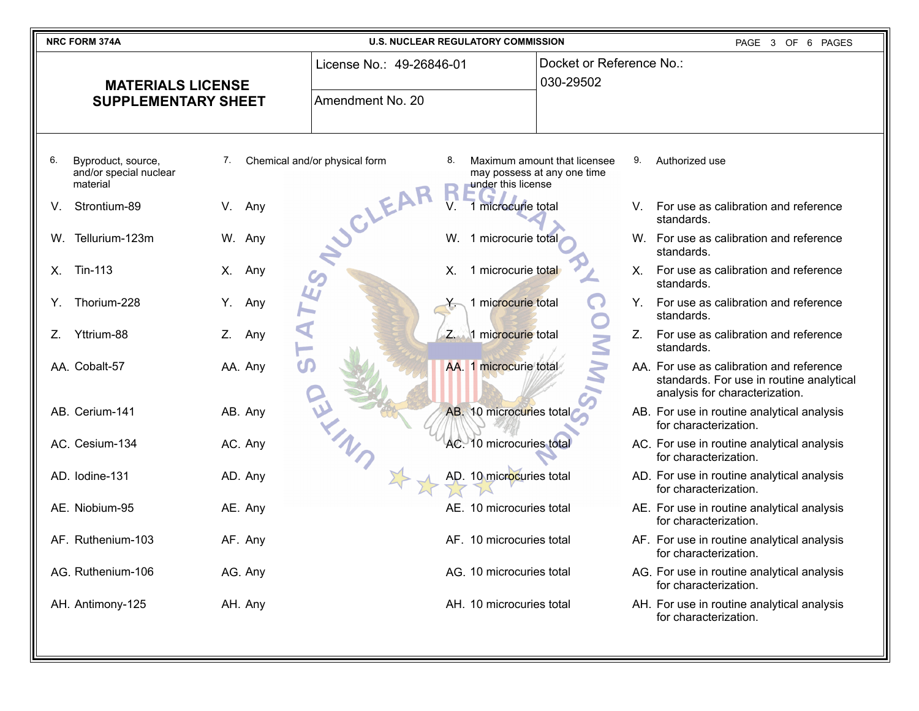| NRC FORM 374A                                                  | <b>U.S. NUCLEAR REGULATORY COMMISSION</b> | PAGE 3 OF 6 PAGES                        |                                                                                   |                                       |                                                                                                                        |
|----------------------------------------------------------------|-------------------------------------------|------------------------------------------|-----------------------------------------------------------------------------------|---------------------------------------|------------------------------------------------------------------------------------------------------------------------|
| <b>MATERIALS LICENSE</b>                                       |                                           | License No.: 49-26846-01                 |                                                                                   | Docket or Reference No.:<br>030-29502 |                                                                                                                        |
| <b>SUPPLEMENTARY SHEET</b>                                     |                                           | Amendment No. 20                         |                                                                                   |                                       |                                                                                                                        |
| 6.<br>Byproduct, source,<br>and/or special nuclear<br>material | 7.                                        | Chemical and/or physical form<br>8.<br>R | Maximum amount that licensee<br>may possess at any one time<br>under this license | 9.                                    | Authorized use                                                                                                         |
| Strontium-89<br>V.                                             | Any<br>V.                                 | SCLEAR<br>V.                             | 1 microcurie total                                                                |                                       | V. For use as calibration and reference<br>standards.                                                                  |
| W. Tellurium-123m                                              | W. Any                                    |                                          | W. 1 microcurie total                                                             |                                       | W. For use as calibration and reference<br>standards.                                                                  |
| Tin-113<br>Χ.                                                  | Any<br>Х.                                 | Х.                                       | 1 microcurie total                                                                | $X_{-}$                               | For use as calibration and reference<br>standards.                                                                     |
| Thorium-228<br>Y.                                              | Any<br>Υ.                                 |                                          | 1 microcurie total                                                                | Y.                                    | For use as calibration and reference<br>standards.                                                                     |
| Yttrium-88<br>Z.                                               | Z.<br>Any                                 |                                          | 1 microcurie total                                                                | $Z_{\rm c}$                           | For use as calibration and reference<br>standards.                                                                     |
| AA. Cobalt-57                                                  | AA. Any                                   |                                          | AA. 1 microcurie total                                                            |                                       | AA. For use as calibration and reference<br>standards. For use in routine analytical<br>analysis for characterization. |
| AB. Cerium-141                                                 | AB. Any                                   |                                          | AB. 10 microcuries total                                                          |                                       | AB. For use in routine analytical analysis<br>for characterization.                                                    |
| AC. Cesium-134                                                 | AC. Any                                   |                                          | AC. 10 microcuries total                                                          |                                       | AC. For use in routine analytical analysis<br>for characterization.                                                    |
| AD. Iodine-131                                                 | AD. Any                                   |                                          | AD. 10 microcuries total                                                          |                                       | AD. For use in routine analytical analysis<br>for characterization.                                                    |
| AE. Niobium-95                                                 | AE. Any                                   |                                          | AE. 10 microcuries total                                                          |                                       | AE. For use in routine analytical analysis<br>for characterization.                                                    |
| AF. Ruthenium-103                                              | AF. Any                                   |                                          | AF. 10 microcuries total                                                          |                                       | AF. For use in routine analytical analysis<br>for characterization.                                                    |
| AG. Ruthenium-106                                              | AG. Any                                   |                                          | AG. 10 microcuries total                                                          |                                       | AG. For use in routine analytical analysis<br>for characterization.                                                    |
| AH. Antimony-125                                               | AH. Any                                   |                                          | AH. 10 microcuries total                                                          |                                       | AH. For use in routine analytical analysis<br>for characterization.                                                    |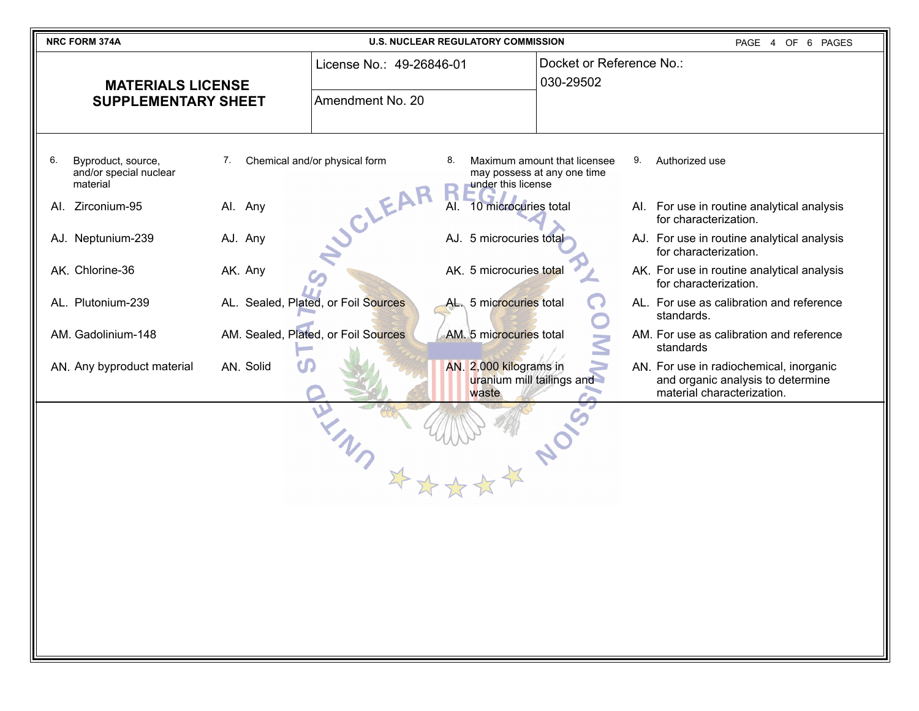| NRC FORM 374A                                                        | <b>U.S. NUCLEAR REGULATORY COMMISSION</b>                      | PAGE 4 OF 6 PAGES                                                                                                                       |  |
|----------------------------------------------------------------------|----------------------------------------------------------------|-----------------------------------------------------------------------------------------------------------------------------------------|--|
| <b>MATERIALS LICENSE</b>                                             | License No.: 49-26846-01                                       | Docket or Reference No.:<br>030-29502                                                                                                   |  |
| <b>SUPPLEMENTARY SHEET</b>                                           | Amendment No. 20                                               |                                                                                                                                         |  |
| 6.<br>Byproduct, source,<br>7.<br>and/or special nuclear<br>material | Chemical and/or physical form<br>8.<br>under this license      | Maximum amount that licensee<br>9.<br>Authorized use<br>may possess at any one time                                                     |  |
| Al. Zirconium-95<br>Al. Any                                          | <b>SCLEAR</b><br>Al. 10 microcuries total                      | For use in routine analytical analysis<br>AI.<br>for characterization.                                                                  |  |
| AJ. Neptunium-239<br>AJ. Any                                         | AJ. 5 microcuries total                                        | AJ. For use in routine analytical analysis<br>for characterization.                                                                     |  |
| AK. Chlorine-36<br>AK. Any                                           | AK. 5 microcuries total                                        | AK. For use in routine analytical analysis<br>for characterization.                                                                     |  |
| AL. Plutonium-239                                                    | AL. Sealed, Plated, or Foil Sources<br>AL. 5 microcuries total | AL. For use as calibration and reference<br>standards.                                                                                  |  |
| AM. Gadolinium-148                                                   | AM. Sealed, Plated, or Foil Sources<br>AM. 5 microcuries total | AM. For use as calibration and reference<br>standards                                                                                   |  |
| AN. Solid<br>AN. Any byproduct material                              | AN. 2,000 kilograms in<br>waste                                | AN. For use in radiochemical, inorganic<br>uranium mill tailings and<br>and organic analysis to determine<br>material characterization. |  |
|                                                                      |                                                                |                                                                                                                                         |  |
|                                                                      |                                                                |                                                                                                                                         |  |

Ш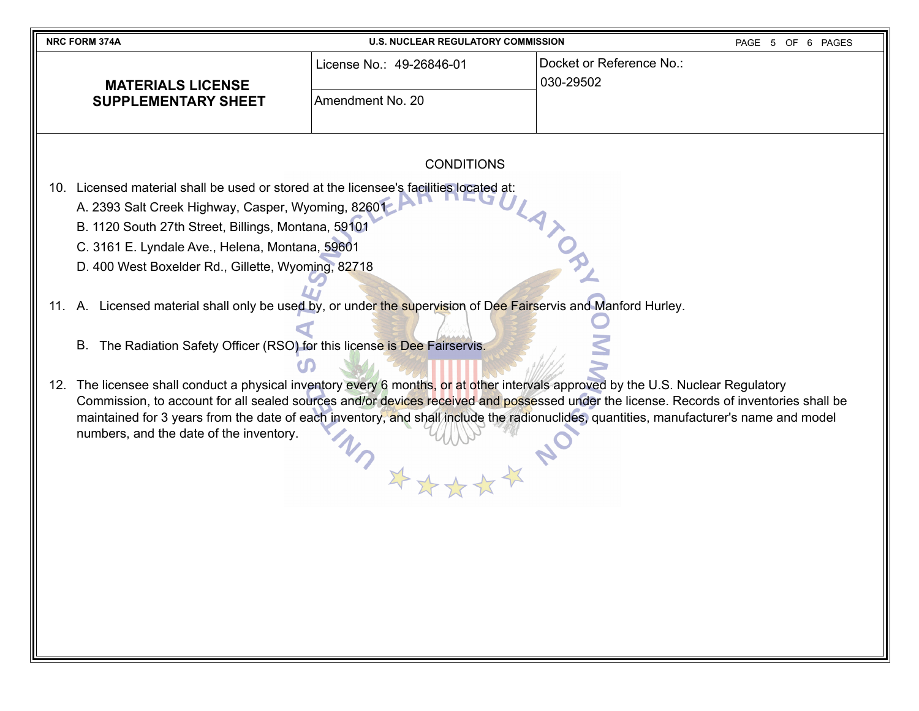| <b>NRC FORM 374A</b>       | <b>U.S. NUCLEAR REGULATORY COMMISSION</b> | PAGE 5 OF 6 PAGES                      |  |
|----------------------------|-------------------------------------------|----------------------------------------|--|
| <b>MATERIALS LICENSE</b>   | License No.: 49-26846-01                  | ⊺Docket or Reference No.:<br>030-29502 |  |
| <b>SUPPLEMENTARY SHEET</b> | Amendment No. 20                          |                                        |  |

## CONDITIONS

10. Licensed material shall be used or stored at the licensee's facilities located at:

- A. 2393 Salt Creek Highway, Casper, Wyoming, 82601
- B. 1120 South 27th Street, Billings, Montana, 59101
- C. 3161 E. Lyndale Ave., Helena, Montana, 59601
- D. 400 West Boxelder Rd., Gillette, Wyoming, 82718

11. A. Licensed material shall only be used by, or under the supervision of Dee Fairservis and Manford Hurley.

- B. The Radiation Safety Officer (RSO) for this license is Dee Fairservis.
- 12. The licensee shall conduct a physical inventory every 6 months, or at other intervals approved by the U.S. Nuclear Regulatory Commission, to account for all sealed sources and/or devices received and possessed under the license. Records of inventories shall be maintained for 3 years from the date of each inventory, and shall include the radionuclides, quantities, manufacturer's name and model numbers, and the date of the inventory.XXXXX N